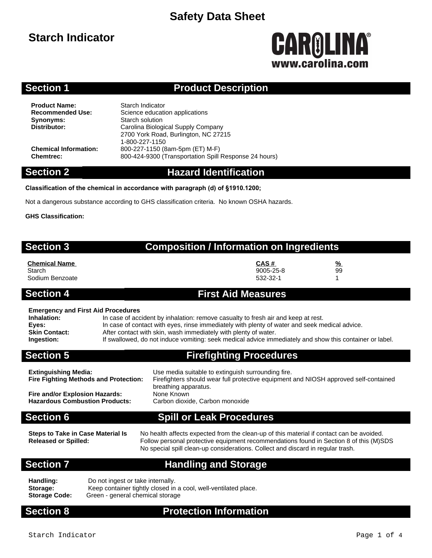## **Starch Indicator**

# CAROLINA® www.carolina.co

### **Section 1 Product Description**

**Product Name:** Starch Indicator<br> **Recommended Use:** Science educati **Synonyms:** Starch solution<br> **Distributor:** Carolina Biolog

**Science education applications Distributor:** Carolina Biological Supply Company 2700 York Road, Burlington, NC 27215 1-800-227-1150 **Chemical Information:** 800-227-1150 (8am-5pm (ET) M-F) **Chemtrec:** 800-424-9300 (Transportation Spill Response 24 hours)

### **Section 2 Hazard Identification**

### **Classification of the chemical in accordance with paragraph (d) of §1910.1200;**

Not a dangerous substance according to GHS classification criteria. No known OSHA hazards.

### **GHS Classification:**

| <b>Section 3</b>                                         | <b>Composition / Information on Ingredients</b>                                   |  |
|----------------------------------------------------------|-----------------------------------------------------------------------------------|--|
| <b>Chemical Name</b><br>Starch<br>Sodium Benzoate        | CAS#<br>%<br>99<br>9005-25-8<br>532-32-1                                          |  |
| <b>Section 4</b>                                         | <b>First Aid Measures</b>                                                         |  |
| <b>Emergency and First Aid Procedures</b><br>Inhalation: | In case of accident by inhalation: remove casualty to fresh air and keep at rest. |  |

### **Eyes:** In case of contact with eyes, rinse immediately with plenty of water and seek medical advice.

**Skin Contact:** After contact with skin, wash immediately with plenty of water.

**Ingestion:** If swallowed, do not induce vomiting: seek medical advice immediately and show this container or label.

### **Section 5 Firefighting Procedures**

| Use media suitable to extinguish surrounding fire.                                   |
|--------------------------------------------------------------------------------------|
| Firefighters should wear full protective equipment and NIOSH approved self-contained |
| breathing apparatus.                                                                 |
| None Known                                                                           |
| Carbon dioxide, Carbon monoxide                                                      |
|                                                                                      |
|                                                                                      |

**Section 6 Spill or Leak Procedures**

**Steps to Take in Case Material Is Released or Spilled:**

No health affects expected from the clean-up of this material if contact can be avoided. Follow personal protective equipment recommendations found in Section 8 of this (M)SDS No special spill clean-up considerations. Collect and discard in regular trash.

### **Section 7 Handling and Storage**

| Handling:            | Do not ingest or take internally.                               |
|----------------------|-----------------------------------------------------------------|
| Storage:             | Keep container tightly closed in a cool, well-ventilated place. |
| <b>Storage Code:</b> | Green - general chemical storage                                |

### **Section 8 Protection Information**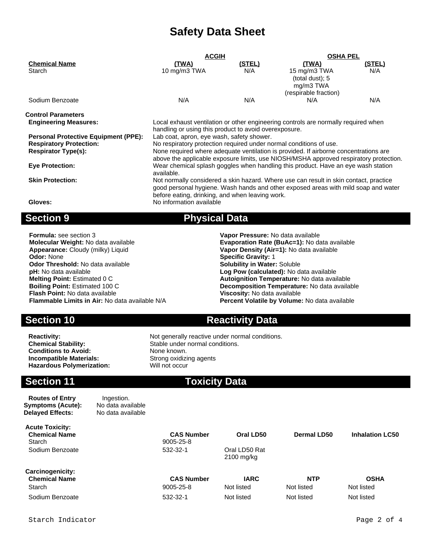| <u>(TWA)</u><br>10 mg/m3 TWA                                                         | <u>(STEL)</u><br>N/A            | <u>(TWA)</u>                | (STEL)                                                                                                                                                                                                                                                                                                                                                                                                                                                                                              |  |  |
|--------------------------------------------------------------------------------------|---------------------------------|-----------------------------|-----------------------------------------------------------------------------------------------------------------------------------------------------------------------------------------------------------------------------------------------------------------------------------------------------------------------------------------------------------------------------------------------------------------------------------------------------------------------------------------------------|--|--|
|                                                                                      |                                 |                             |                                                                                                                                                                                                                                                                                                                                                                                                                                                                                                     |  |  |
|                                                                                      |                                 | 15 mg/m3 TWA                | N/A                                                                                                                                                                                                                                                                                                                                                                                                                                                                                                 |  |  |
|                                                                                      |                                 | (total dust): 5             |                                                                                                                                                                                                                                                                                                                                                                                                                                                                                                     |  |  |
|                                                                                      |                                 |                             |                                                                                                                                                                                                                                                                                                                                                                                                                                                                                                     |  |  |
|                                                                                      |                                 |                             |                                                                                                                                                                                                                                                                                                                                                                                                                                                                                                     |  |  |
|                                                                                      |                                 |                             | N/A                                                                                                                                                                                                                                                                                                                                                                                                                                                                                                 |  |  |
|                                                                                      |                                 |                             |                                                                                                                                                                                                                                                                                                                                                                                                                                                                                                     |  |  |
| Local exhaust ventilation or other engineering controls are normally required when   |                                 |                             |                                                                                                                                                                                                                                                                                                                                                                                                                                                                                                     |  |  |
|                                                                                      |                                 |                             |                                                                                                                                                                                                                                                                                                                                                                                                                                                                                                     |  |  |
| Lab coat, apron, eye wash, safety shower.                                            |                                 |                             |                                                                                                                                                                                                                                                                                                                                                                                                                                                                                                     |  |  |
|                                                                                      |                                 |                             |                                                                                                                                                                                                                                                                                                                                                                                                                                                                                                     |  |  |
| None required where adequate ventilation is provided. If airborne concentrations are |                                 |                             |                                                                                                                                                                                                                                                                                                                                                                                                                                                                                                     |  |  |
|                                                                                      |                                 |                             |                                                                                                                                                                                                                                                                                                                                                                                                                                                                                                     |  |  |
| Wear chemical splash goggles when handling this product. Have an eye wash station    |                                 |                             |                                                                                                                                                                                                                                                                                                                                                                                                                                                                                                     |  |  |
| available.                                                                           |                                 |                             |                                                                                                                                                                                                                                                                                                                                                                                                                                                                                                     |  |  |
| <b>Skin Protection:</b>                                                              |                                 |                             |                                                                                                                                                                                                                                                                                                                                                                                                                                                                                                     |  |  |
|                                                                                      |                                 |                             |                                                                                                                                                                                                                                                                                                                                                                                                                                                                                                     |  |  |
|                                                                                      |                                 |                             |                                                                                                                                                                                                                                                                                                                                                                                                                                                                                                     |  |  |
|                                                                                      |                                 |                             |                                                                                                                                                                                                                                                                                                                                                                                                                                                                                                     |  |  |
|                                                                                      |                                 |                             |                                                                                                                                                                                                                                                                                                                                                                                                                                                                                                     |  |  |
|                                                                                      | N/A<br>No information available | N/A<br><b>Physical Data</b> | mg/m3 TWA<br>(respirable fraction)<br>N/A<br>handling or using this product to avoid overexposure.<br>No respiratory protection required under normal conditions of use.<br>above the applicable exposure limits, use NIOSH/MSHA approved respiratory protection.<br>Not normally considered a skin hazard. Where use can result in skin contact, practice<br>good personal hygiene. Wash hands and other exposed areas with mild soap and water<br>before eating, drinking, and when leaving work. |  |  |

**Formula:** see section 3 **Vapor Pressure:** No data available **Molecular Weight:** No data available **Evaporation Rate (BuAc=1):** No data available **Appearance:** Cloudy (milky) Liquid **Example 1998 Vapor Density (Air=1):** No data available **Appearance:** Cloudy (milky) Liquid **Vapor Density (Air=1):** No data available **Odor:** None **Cloudy** (milky) Liquid **Vances Constant Constant Constant Constant Constant Constant Constant Constant Constant Constant Constant Odor Threshold:** No data available **pH:** No data available **pH:** No data available **Log Pow (calculated):** No data available **Melting Point:** Estimated 0 C **Autoignition Temperature:** No data available **Flash Point:** No data available **Viscosity:** No data available

**Conditions to Avoid:** None known.<br> **Incompatible Materials:** Strong oxidizing agents **Incompatible Materials:** Strong oxidizing and the Strong oxidizing and the Strong and Hazardous Polymerization: **Hazardous Polymerization:** 

### **Section 10 Reactivity Data**

**Specific Gravity: 1**<br>**Solubility in Water: Soluble** 

**Decomposition Temperature:** No data available

**Percent Volatile by Volume:** No data available

**Reactivity:** Not generally reactive under normal conditions. **Chemical Stability:** Stable under normal conditions.

### **Section 11 Toxicity Data**

| <b>Routes of Entry</b><br>Symptoms (Acute):<br><b>Delayed Effects:</b> | Ingestion.<br>No data available<br>No data available |                                |                             |                          |                           |
|------------------------------------------------------------------------|------------------------------------------------------|--------------------------------|-----------------------------|--------------------------|---------------------------|
| <b>Acute Toxicity:</b><br><b>Chemical Name</b><br>Starch               |                                                      | <b>CAS Number</b><br>9005-25-8 | Oral LD50                   | Dermal LD50              | <b>Inhalation LC50</b>    |
| Sodium Benzoate                                                        |                                                      | 532-32-1                       | Oral LD50 Rat<br>2100 mg/kg |                          |                           |
| <b>Carcinogenicity:</b><br><b>Chemical Name</b><br>Starch              |                                                      | <b>CAS Number</b><br>9005-25-8 | <b>IARC</b><br>Not listed   | <b>NTP</b><br>Not listed | <b>OSHA</b><br>Not listed |
| Sodium Benzoate                                                        |                                                      | 532-32-1                       | Not listed                  | Not listed               | Not listed                |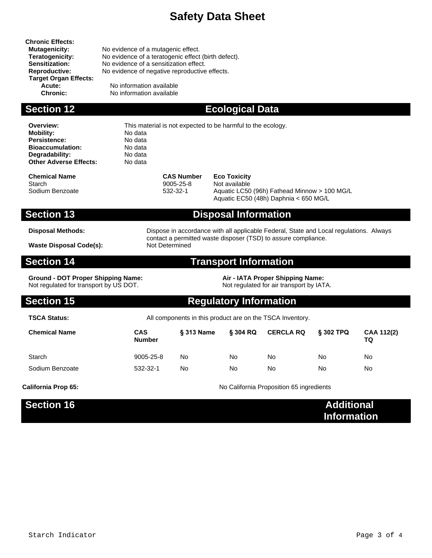**Chronic Effects: Target Organ Effects:**

**Mutagenicity:** No evidence of a mutagenic effect.<br> **Teratogenicity:** No evidence of a teratogenic effect **Teratogenicity:** No evidence of a teratogenic effect (birth defect).<br>**Sensitization:** No evidence of a sensitization effect. No evidence of a sensitization effect. **Reproductive:** No evidence of negative reproductive effects.

**Acute:** No information available<br> **Chronic:** No information available **No information available** 

### **Section 12 Ecological Data**

**Overview:** This material is not expected to be harmful to the ecology. **Mobility:** No data<br> **Persistence:** No data **Persistence:** No data<br> **Bioaccumulation:** No data **Bioaccumulation:** No data<br> **Degradability:** No data **Degradability:** No data<br> **Other Adverse Effects:** No data

**Chemical Name CAS Number Eco Toxicity** Starch 9005-25-8 Not available

**Other Adverse Effects:** 

Sodium Benzoate 532-32-1 Aquatic LC50 (96h) Fathead Minnow > 100 MG/L Aquatic EC50 (48h) Daphnia < 650 MG/L

### **Section 13 Disposal Information**

**Disposal Methods:** Dispose in accordance with all applicable Federal, State and Local regulations. Always contact a permitted waste disposer (TSD) to assure compliance. **Waste Disposal Code(s):** Not Determined

### **Section 14 Transport Information**

**Ground - DOT Proper Shipping Name: Air - IATA Proper Shipping Name: Air - IATA Proper Shipping Name: Not regulated for air transport by IATA.** Not regulated for transport by US DOT.

### **Section 15 Regulatory Information**

**TSCA Status:** All components in this product are on the TSCA Inventory.

| <b>Chemical Name</b> | <b>CAS</b><br><b>Number</b> | § 313 Name | § 304 RQ | <b>CERCLA RQ</b> | <b>§ 302 TPQ</b> | <b>CAA 112(2)</b><br>TQ |
|----------------------|-----------------------------|------------|----------|------------------|------------------|-------------------------|
| Starch               | 9005-25-8                   | No         | No       | No               | No               | No                      |
| Sodium Benzoate      | 532-32-1                    | No         | No       | No               | No               | No                      |

**California Prop 65:** California Proposition 65 ingredients

| Section 16 | <b>Additional</b>  |
|------------|--------------------|
|            | <b>Information</b> |